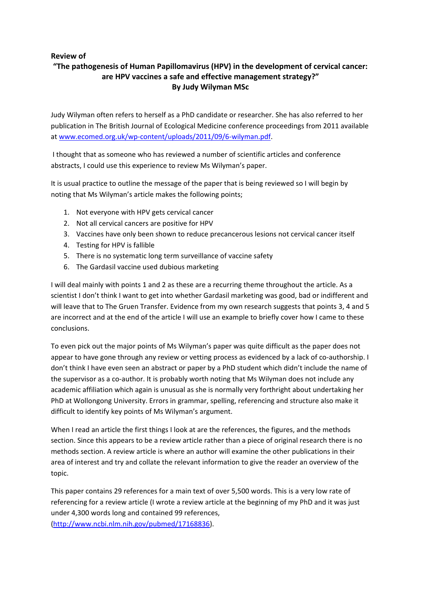## **Review of**

# **"The pathogenesis of Human Papillomavirus (HPV) in the development of cervical cancer: are HPV vaccines a safe and effective management strategy?" By Judy Wilyman MSc**

Judy Wilyman often refers to herself as a PhD candidate or researcher. She has also referred to her publication in The British Journal of Ecological Medicine conference proceedings from 2011 available at www.ecomed.org.uk/wp‐content/uploads/2011/09/6‐wilyman.pdf.

I thought that as someone who has reviewed a number of scientific articles and conference abstracts, I could use this experience to review Ms Wilyman's paper.

It is usual practice to outline the message of the paper that is being reviewed so I will begin by noting that Ms Wilyman's article makes the following points;

- 1. Not everyone with HPV gets cervical cancer
- 2. Not all cervical cancers are positive for HPV
- 3. Vaccines have only been shown to reduce precancerous lesions not cervical cancer itself
- 4. Testing for HPV is fallible
- 5. There is no systematic long term surveillance of vaccine safety
- 6. The Gardasil vaccine used dubious marketing

I will deal mainly with points 1 and 2 as these are a recurring theme throughout the article. As a scientist I don't think I want to get into whether Gardasil marketing was good, bad or indifferent and will leave that to The Gruen Transfer. Evidence from my own research suggests that points 3, 4 and 5 are incorrect and at the end of the article I will use an example to briefly cover how I came to these conclusions.

To even pick out the major points of Ms Wilyman's paper was quite difficult as the paper does not appear to have gone through any review or vetting process as evidenced by a lack of co-authorship. I don't think I have even seen an abstract or paper by a PhD student which didn't include the name of the supervisor as a co-author. It is probably worth noting that Ms Wilyman does not include any academic affiliation which again is unusual as she is normally very forthright about undertaking her PhD at Wollongong University. Errors in grammar, spelling, referencing and structure also make it difficult to identify key points of Ms Wilyman's argument.

When I read an article the first things I look at are the references, the figures, and the methods section. Since this appears to be a review article rather than a piece of original research there is no methods section. A review article is where an author will examine the other publications in their area of interest and try and collate the relevant information to give the reader an overview of the topic.

This paper contains 29 references for a main text of over 5,500 words. This is a very low rate of referencing for a review article (I wrote a review article at the beginning of my PhD and it was just under 4,300 words long and contained 99 references,

(http://www.ncbi.nlm.nih.gov/pubmed/17168836).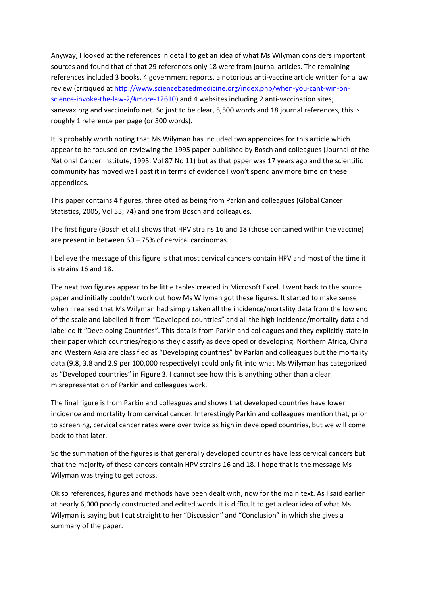Anyway, I looked at the references in detail to get an idea of what Ms Wilyman considers important sources and found that of that 29 references only 18 were from journal articles. The remaining references included 3 books, 4 government reports, a notorious anti‐vaccine article written for a law review (critiqued at http://www.sciencebasedmedicine.org/index.php/when-you-cant-win-onscience-invoke-the-law-2/#more-12610) and 4 websites including 2 anti-vaccination sites; sanevax.org and vaccineinfo.net. So just to be clear, 5,500 words and 18 journal references, this is roughly 1 reference per page (or 300 words).

It is probably worth noting that Ms Wilyman has included two appendices for this article which appear to be focused on reviewing the 1995 paper published by Bosch and colleagues (Journal of the National Cancer Institute, 1995, Vol 87 No 11) but as that paper was 17 years ago and the scientific community has moved well past it in terms of evidence I won't spend any more time on these appendices.

This paper contains 4 figures, three cited as being from Parkin and colleagues (Global Cancer Statistics, 2005, Vol 55; 74) and one from Bosch and colleagues.

The first figure (Bosch et al.) shows that HPV strains 16 and 18 (those contained within the vaccine) are present in between 60 – 75% of cervical carcinomas.

I believe the message of this figure is that most cervical cancers contain HPV and most of the time it is strains 16 and 18.

The next two figures appear to be little tables created in Microsoft Excel. I went back to the source paper and initially couldn't work out how Ms Wilyman got these figures. It started to make sense when I realised that Ms Wilyman had simply taken all the incidence/mortality data from the low end of the scale and labelled it from "Developed countries" and all the high incidence/mortality data and labelled it "Developing Countries". This data is from Parkin and colleagues and they explicitly state in their paper which countries/regions they classify as developed or developing. Northern Africa, China and Western Asia are classified as "Developing countries" by Parkin and colleagues but the mortality data (9.8, 3.8 and 2.9 per 100,000 respectively) could only fit into what Ms Wilyman has categorized as "Developed countries" in Figure 3. I cannot see how this is anything other than a clear misrepresentation of Parkin and colleagues work.

The final figure is from Parkin and colleagues and shows that developed countries have lower incidence and mortality from cervical cancer. Interestingly Parkin and colleagues mention that, prior to screening, cervical cancer rates were over twice as high in developed countries, but we will come back to that later.

So the summation of the figures is that generally developed countries have less cervical cancers but that the majority of these cancers contain HPV strains 16 and 18. I hope that is the message Ms Wilyman was trying to get across.

Ok so references, figures and methods have been dealt with, now for the main text. As I said earlier at nearly 6,000 poorly constructed and edited words it is difficult to get a clear idea of what Ms Wilyman is saying but I cut straight to her "Discussion" and "Conclusion" in which she gives a summary of the paper.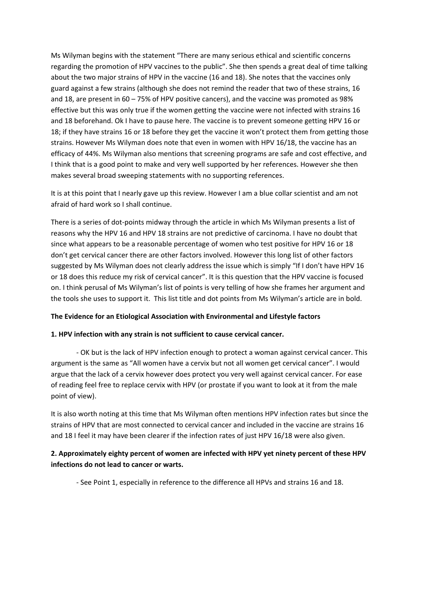Ms Wilyman begins with the statement "There are many serious ethical and scientific concerns regarding the promotion of HPV vaccines to the public". She then spends a great deal of time talking about the two major strains of HPV in the vaccine (16 and 18). She notes that the vaccines only guard against a few strains (although she does not remind the reader that two of these strains, 16 and 18, are present in 60 – 75% of HPV positive cancers), and the vaccine was promoted as 98% effective but this was only true if the women getting the vaccine were not infected with strains 16 and 18 beforehand. Ok I have to pause here. The vaccine is to prevent someone getting HPV 16 or 18; if they have strains 16 or 18 before they get the vaccine it won't protect them from getting those strains. However Ms Wilyman does note that even in women with HPV 16/18, the vaccine has an efficacy of 44%. Ms Wilyman also mentions that screening programs are safe and cost effective, and I think that is a good point to make and very well supported by her references. However she then makes several broad sweeping statements with no supporting references.

It is at this point that I nearly gave up this review. However I am a blue collar scientist and am not afraid of hard work so I shall continue.

There is a series of dot-points midway through the article in which Ms Wilyman presents a list of reasons why the HPV 16 and HPV 18 strains are not predictive of carcinoma. I have no doubt that since what appears to be a reasonable percentage of women who test positive for HPV 16 or 18 don't get cervical cancer there are other factors involved. However this long list of other factors suggested by Ms Wilyman does not clearly address the issue which is simply "If I don't have HPV 16 or 18 does this reduce my risk of cervical cancer". It is this question that the HPV vaccine is focused on. I think perusal of Ms Wilyman's list of points is very telling of how she frames her argument and the tools she uses to support it. This list title and dot points from Ms Wilyman's article are in bold.

### **The Evidence for an Etiological Association with Environmental and Lifestyle factors**

### **1. HPV infection with any strain is not sufficient to cause cervical cancer.**

 ‐ OK but is the lack of HPV infection enough to protect a woman against cervical cancer. This argument is the same as "All women have a cervix but not all women get cervical cancer". I would argue that the lack of a cervix however does protect you very well against cervical cancer. For ease of reading feel free to replace cervix with HPV (or prostate if you want to look at it from the male point of view).

It is also worth noting at this time that Ms Wilyman often mentions HPV infection rates but since the strains of HPV that are most connected to cervical cancer and included in the vaccine are strains 16 and 18 I feel it may have been clearer if the infection rates of just HPV 16/18 were also given.

## **2. Approximately eighty percent of women are infected with HPV yet ninety percent of these HPV infections do not lead to cancer or warts.**

‐ See Point 1, especially in reference to the difference all HPVs and strains 16 and 18.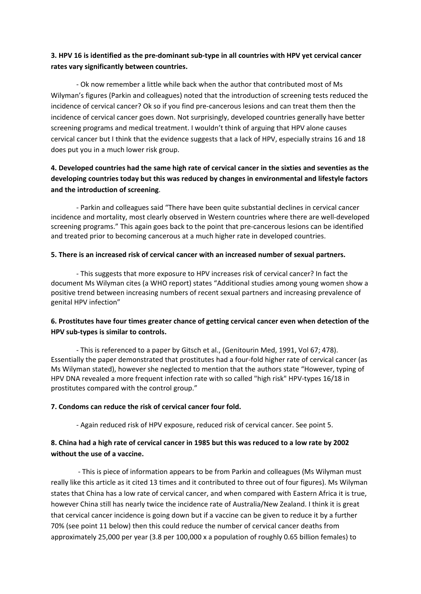### 3. HPV 16 is identified as the pre-dominant sub-type in all countries with HPV yet cervical cancer **rates vary significantly between countries.**

 ‐ Ok now remember a little while back when the author that contributed most of Ms Wilyman's figures (Parkin and colleagues) noted that the introduction of screening tests reduced the incidence of cervical cancer? Ok so if you find pre‐cancerous lesions and can treat them then the incidence of cervical cancer goes down. Not surprisingly, developed countries generally have better screening programs and medical treatment. I wouldn't think of arguing that HPV alone causes cervical cancer but I think that the evidence suggests that a lack of HPV, especially strains 16 and 18 does put you in a much lower risk group.

# 4. Developed countries had the same high rate of cervical cancer in the sixties and seventies as the **developing countries today but this was reduced by changes in environmental and lifestyle factors and the introduction of screening**.

 ‐ Parkin and colleagues said "There have been quite substantial declines in cervical cancer incidence and mortality, most clearly observed in Western countries where there are well-developed screening programs." This again goes back to the point that pre‐cancerous lesions can be identified and treated prior to becoming cancerous at a much higher rate in developed countries.

### **5. There is an increased risk of cervical cancer with an increased number of sexual partners.**

‐ This suggests that more exposure to HPV increases risk of cervical cancer? In fact the document Ms Wilyman cites (a WHO report) states "Additional studies among young women show a positive trend between increasing numbers of recent sexual partners and increasing prevalence of genital HPV infection"

## **6. Prostitutes have four times greater chance of getting cervical cancer even when detection of the HPV sub‐types is similar to controls.**

 ‐ This is referenced to a paper by Gitsch et al., (Genitourin Med, 1991, Vol 67; 478). Essentially the paper demonstrated that prostitutes had a four‐fold higher rate of cervical cancer (as Ms Wilyman stated), however she neglected to mention that the authors state "However, typing of HPV DNA revealed a more frequent infection rate with so called "high risk" HPV-types 16/18 in prostitutes compared with the control group."

### **7. Condoms can reduce the risk of cervical cancer four fold.**

‐ Again reduced risk of HPV exposure, reduced risk of cervical cancer. See point 5.

### 8. China had a high rate of cervical cancer in 1985 but this was reduced to a low rate by 2002 **without the use of a vaccine.**

 ‐ This is piece of information appears to be from Parkin and colleagues (Ms Wilyman must really like this article as it cited 13 times and it contributed to three out of four figures). Ms Wilyman states that China has a low rate of cervical cancer, and when compared with Eastern Africa it is true, however China still has nearly twice the incidence rate of Australia/New Zealand. I think it is great that cervical cancer incidence is going down but if a vaccine can be given to reduce it by a further 70% (see point 11 below) then this could reduce the number of cervical cancer deaths from approximately 25,000 per year (3.8 per 100,000 x a population of roughly 0.65 billion females) to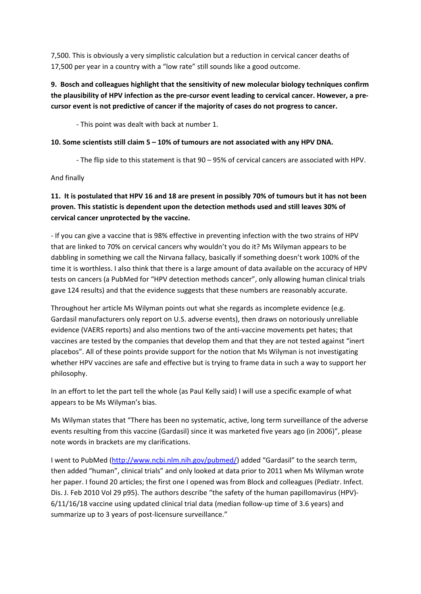7,500. This is obviously a very simplistic calculation but a reduction in cervical cancer deaths of 17,500 per year in a country with a "low rate" still sounds like a good outcome.

# **9. Bosch and colleagues highlight that the sensitivity of new molecular biology techniques confirm** the plausibility of HPV infection as the pre-cursor event leading to cervical cancer. However, a pre**cursor event is not predictive of cancer if the majority of cases do not progress to cancer.**

‐ This point was dealt with back at number 1.

### **10. Some scientists still claim 5 – 10% of tumours are not associated with any HPV DNA.**

‐ The flip side to this statement is that 90 – 95% of cervical cancers are associated with HPV.

And finally

# 11. It is postulated that HPV 16 and 18 are present in possibly 70% of tumours but it has not been **proven. This statistic is dependent upon the detection methods used and still leaves 30% of cervical cancer unprotected by the vaccine.**

‐ If you can give a vaccine that is 98% effective in preventing infection with the two strains of HPV that are linked to 70% on cervical cancers why wouldn't you do it? Ms Wilyman appears to be dabbling in something we call the Nirvana fallacy, basically if something doesn't work 100% of the time it is worthless. I also think that there is a large amount of data available on the accuracy of HPV tests on cancers (a PubMed for "HPV detection methods cancer", only allowing human clinical trials gave 124 results) and that the evidence suggests that these numbers are reasonably accurate.

Throughout her article Ms Wilyman points out what she regards as incomplete evidence (e.g. Gardasil manufacturers only report on U.S. adverse events), then draws on notoriously unreliable evidence (VAERS reports) and also mentions two of the anti-vaccine movements pet hates; that vaccines are tested by the companies that develop them and that they are not tested against "inert placebos". All of these points provide support for the notion that Ms Wilyman is not investigating whether HPV vaccines are safe and effective but is trying to frame data in such a way to support her philosophy.

In an effort to let the part tell the whole (as Paul Kelly said) I will use a specific example of what appears to be Ms Wilyman's bias.

Ms Wilyman states that "There has been no systematic, active, long term surveillance of the adverse events resulting from this vaccine (Gardasil) since it was marketed five years ago (in 2006)", please note words in brackets are my clarifications.

I went to PubMed (http://www.ncbi.nlm.nih.gov/pubmed/) added "Gardasil" to the search term, then added "human", clinical trials" and only looked at data prior to 2011 when Ms Wilyman wrote her paper. I found 20 articles; the first one I opened was from Block and colleagues (Pediatr. Infect. Dis. J. Feb 2010 Vol 29 p95). The authors describe "the safety of the human papillomavirus (HPV)-6/11/16/18 vaccine using updated clinical trial data (median follow‐up time of 3.6 years) and summarize up to 3 years of post-licensure surveillance."